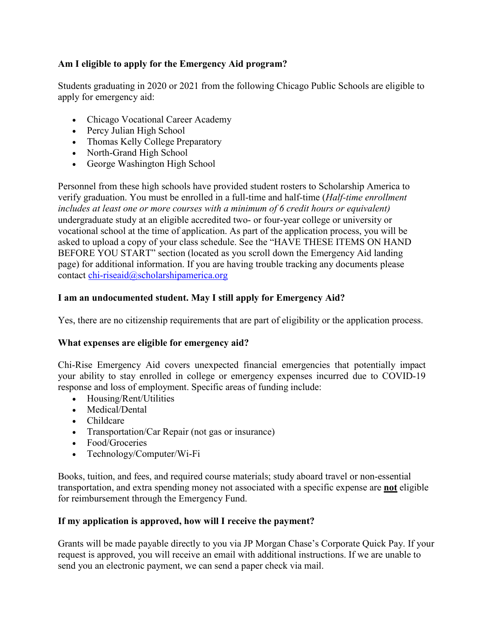# **Am I eligible to apply for the Emergency Aid program?**

Students graduating in 2020 or 2021 from the following Chicago Public Schools are eligible to apply for emergency aid:

- Chicago Vocational Career Academy
- Percy Julian High School
- Thomas Kelly College Preparatory
- North-Grand High School
- George Washington High School

Personnel from these high schools have provided student rosters to Scholarship America to verify graduation. You must be enrolled in a full-time and half-time (*Half-time enrollment includes at least one or more courses with a minimum of 6 credit hours or equivalent)*  undergraduate study at an eligible accredited two- or four-year college or university or vocational school at the time of application. As part of the application process, you will be asked to upload a copy of your class schedule. See the "HAVE THESE ITEMS ON HAND BEFORE YOU START" section (located as you scroll down the Emergency Aid landing page) for additional information. If you are having trouble tracking any documents please contact [chi-riseaid@scholarshipamerica.org](mailto:chi-riseaid@scholarshipamerica.org)

# **I am an undocumented student. May I still apply for Emergency Aid?**

Yes, there are no citizenship requirements that are part of eligibility or the application process.

# **What expenses are eligible for emergency aid?**

Chi-Rise Emergency Aid covers unexpected financial emergencies that potentially impact your ability to stay enrolled in college or emergency expenses incurred due to COVID-19 response and loss of employment. Specific areas of funding include:

- Housing/Rent/Utilities
- Medical/Dental
- Childcare
- Transportation/Car Repair (not gas or insurance)
- Food/Groceries
- Technology/Computer/Wi-Fi

Books, tuition, and fees, and required course materials; study aboard travel or non-essential transportation, and extra spending money not associated with a specific expense are **not** eligible for reimbursement through the Emergency Fund.

# **If my application is approved, how will I receive the payment?**

Grants will be made payable directly to you via JP Morgan Chase's Corporate Quick Pay. If your request is approved, you will receive an email with additional instructions. If we are unable to send you an electronic payment, we can send a paper check via mail.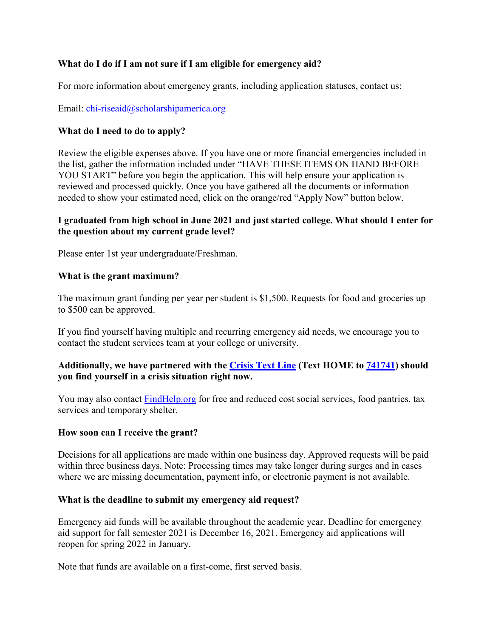# **What do I do if I am not sure if I am eligible for emergency aid?**

For more information about emergency grants, including application statuses, contact us:

## Email: [chi-riseaid@scholarshipamerica.org](mailto:chi-riseaid@scholarshipamerica.org)

## **What do I need to do to apply?**

Review the eligible expenses above. If you have one or more financial emergencies included in the list, gather the information included under "HAVE THESE ITEMS ON HAND BEFORE YOU START" before you begin the application. This will help ensure your application is reviewed and processed quickly. Once you have gathered all the documents or information needed to show your estimated need, click on the orange/red "Apply Now" button below.

### **I graduated from high school in June 2021 and just started college. What should I enter for the question about my current grade level?**

Please enter 1st year undergraduate/Freshman.

#### **What is the grant maximum?**

The maximum grant funding per year per student is \$1,500. Requests for food and groceries up to \$500 can be approved.

If you find yourself having multiple and recurring emergency aid needs, we encourage you to contact the student services team at your college or university.

# **Additionally, we have partnered with the [Crisis Text Line](https://www.crisistextline.org/) (Text HOME to 741741) should you find yourself in a crisis situation right now.**

You may also contact [FindHelp.org](https://www.auntbertha.com/) for free and reduced cost social services, food pantries, tax services and temporary shelter.

#### **How soon can I receive the grant?**

Decisions for all applications are made within one business day. Approved requests will be paid within three business days. Note: Processing times may take longer during surges and in cases where we are missing documentation, payment info, or electronic payment is not available.

#### **What is the deadline to submit my emergency aid request?**

Emergency aid funds will be available throughout the academic year. Deadline for emergency aid support for fall semester 2021 is December 16, 2021. Emergency aid applications will reopen for spring 2022 in January.

Note that funds are available on a first-come, first served basis.